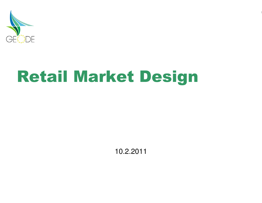

# Retail Market Design

10.2.2011

1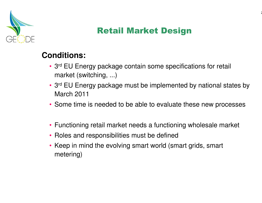

#### Retail Market Design

#### **Conditions:**

- 3<sup>rd</sup> EU Energy package contain some specifications for retail market (switching, ...)
- <sup>3</sup>rd EU Energy package must be implemented by national states by March 2011
- Some time is needed to be able to evaluate these new processes
- Functioning retail market needs a functioning wholesale market
- Roles and responsibilities must be defined
- Keep in mind the evolving smart world (smart grids, smart metering)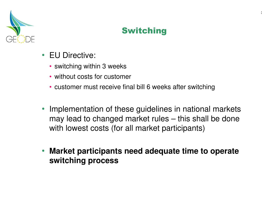

#### Switching

- EU Directive:
	- switching within 3 weeks
	- without costs for customer
	- customer must receive final bill 6 weeks after switching
- Implementation of these guidelines in national markets may lead to changed market rules – this shall be done with lowest costs (for all market participants)
- **Market participants need adequate time to operate switching process**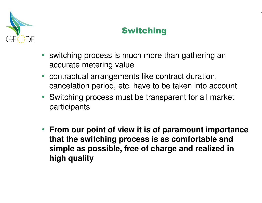

#### Switching

- switching process is much more than gathering an accurate metering value
- contractual arrangements like contract duration, cancelation period, etc. have to be taken into account
- Switching process must be transparent for all market participants
- **From our point of view it is of paramount importance that the switching process is as comfortable and simple as possible, free of charge and realized in high quality**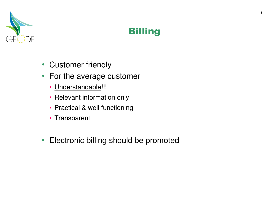

# **Billing**

- Customer friendly
- For the average customer
	- <u>Understandable</u>!!!
	- Relevant information only
	- Practical & well functioning
	- Transparent
- Electronic billing should be promoted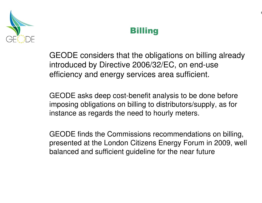

#### **Billing**

GEODE considers that the obligations on billing already introduced by Directive 2006/32/EC, on end-use efficiency and energy services area sufficient.

GEODE asks deep cost-benefit analysis to be done before imposing obligations on billing to distributors/supply, as for instance as regards the need to hourly meters.

GEODE finds the Commissions recommendations on billing, presented at the London Citizens Energy Forum in 2009, well balanced and sufficient guideline for the near future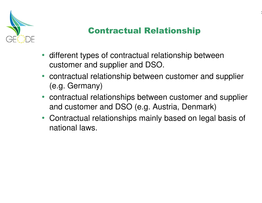

## Contractual Relationship

- different types of contractual relationship betweencustomer and supplier and DSO.
- contractual relationship between customer and supplier (e.g. Germany)
- contractual relationships between customer and supplier and customer and DSO (e.g. Austria, Denmark)
- Contractual relationships mainly based on legal basis of national laws.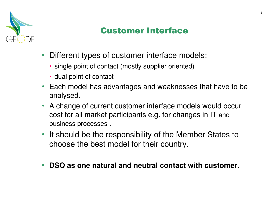

## Customer Interface

٤

- Different types of customer interface models:
	- single point of contact (mostly supplier oriented)
	- dual point of contact
- Each model has advantages and weaknesses that have to be analysed.
- A change of current customer interface models would occur cost for all market participants e.g. for changes in IT and business processes .
- It should be the responsibility of the Member States to choose the best model for their country.
- •**DSO as one natural and neutral contact with customer.**